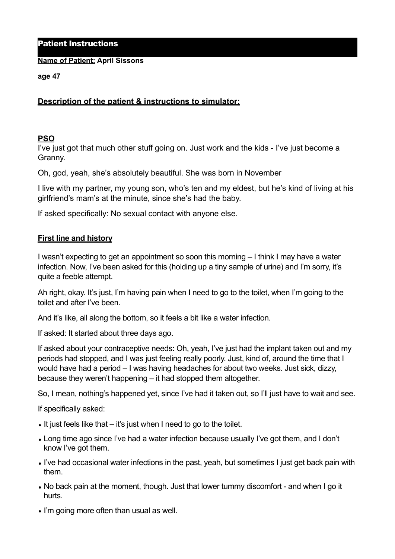### Patient Instructions

#### **Name of Patient: April Sissons**

**age 47** 

# **Description of the patient & instructions to simulator:**

## **PSO**

I've just got that much other stuff going on. Just work and the kids - I've just become a Granny.

Oh, god, yeah, she's absolutely beautiful. She was born in November

I live with my partner, my young son, who's ten and my eldest, but he's kind of living at his girlfriend's mam's at the minute, since she's had the baby.

If asked specifically: No sexual contact with anyone else.

## **First line and history**

I wasn't expecting to get an appointment so soon this morning – I think I may have a water infection. Now, I've been asked for this (holding up a tiny sample of urine) and I'm sorry, it's quite a feeble attempt.

Ah right, okay. It's just, I'm having pain when I need to go to the toilet, when I'm going to the toilet and after I've been.

And it's like, all along the bottom, so it feels a bit like a water infection.

If asked: It started about three days ago.

If asked about your contraceptive needs: Oh, yeah, I've just had the implant taken out and my periods had stopped, and I was just feeling really poorly. Just, kind of, around the time that I would have had a period – I was having headaches for about two weeks. Just sick, dizzy, because they weren't happening – it had stopped them altogether.

So, I mean, nothing's happened yet, since I've had it taken out, so I'll just have to wait and see.

If specifically asked:

- It just feels like that it's just when I need to go to the toilet.
- Long time ago since I've had a water infection because usually I've got them, and I don't know I've got them.
- I've had occasional water infections in the past, yeah, but sometimes I just get back pain with them.
- No back pain at the moment, though. Just that lower tummy discomfort and when I go it hurts.
- I'm going more often than usual as well.